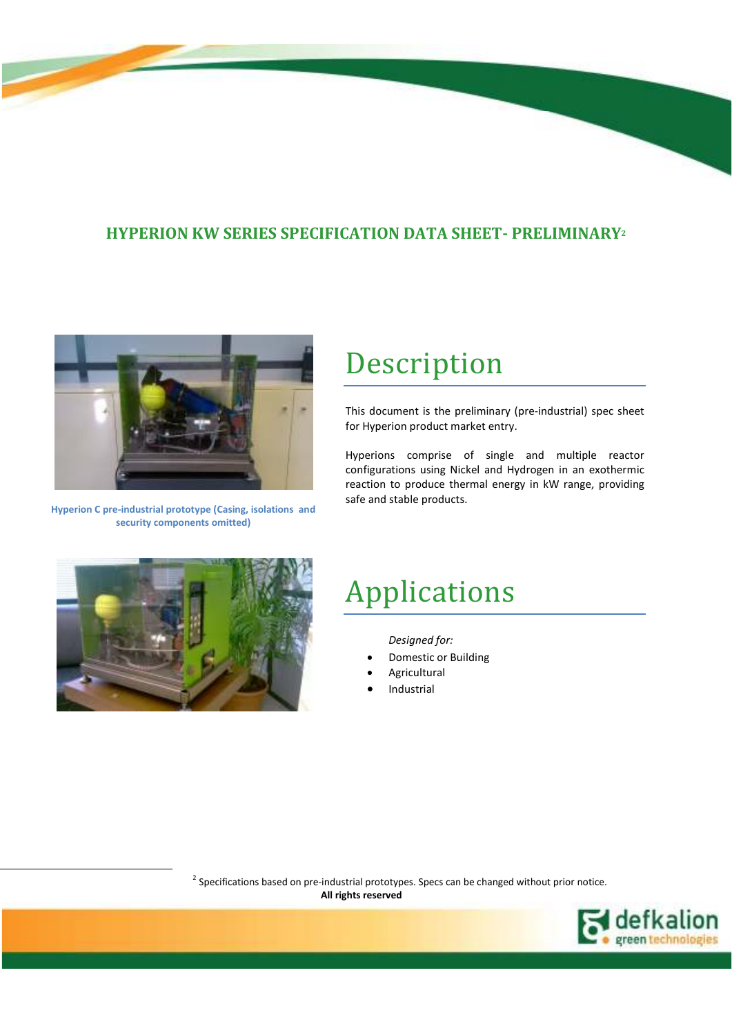# **HYPERION KW SERIES SPECIFICATION DATA SHEET- PRELIMINARY<sup>2</sup>**



**Hyperion C pre-industrial prototype (Casing, isolations and security components omitted)** 

# Description

This document is the preliminary (pre-industrial) spec sheet for Hyperion product market entry.

Hyperions comprise of single and multiple reactor configurations using Nickel and Hydrogen in an exothermic reaction to produce thermal energy in kW range, providing safe and stable products.



l

# Applications

*Designed for:* 

- Domestic or Building
- **Agricultural**
- **Industrial**

 $2$  Specifications based on pre-industrial prototypes. Specs can be changed without prior notice.  **All rights reserved**

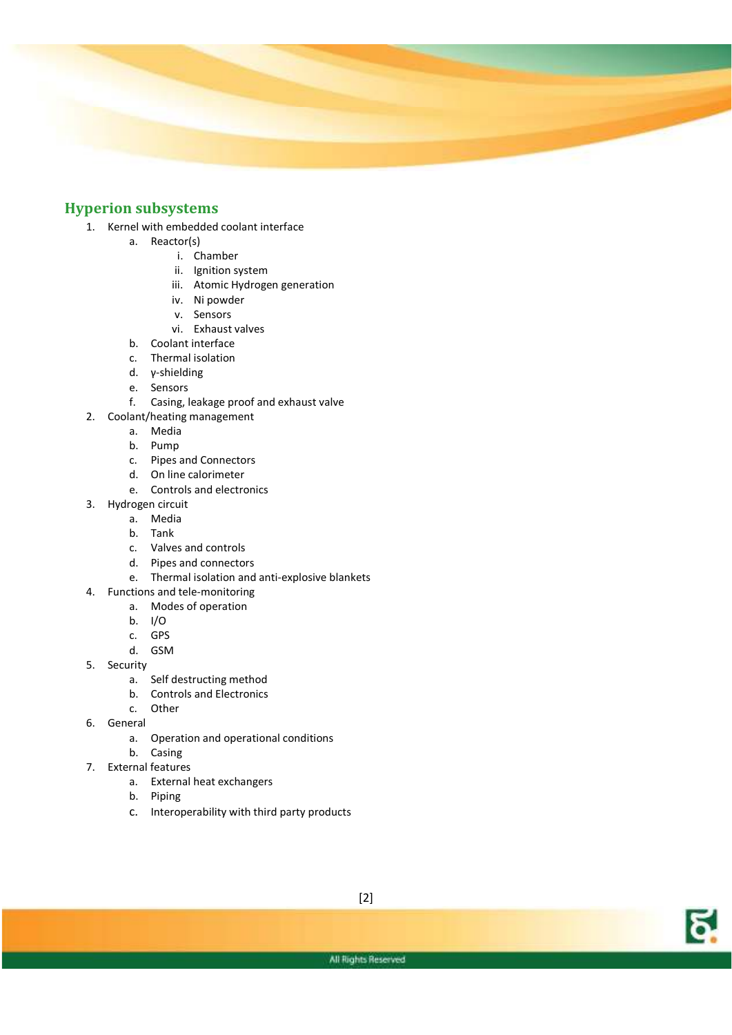

### **Hyperion subsystems**

- 1. Kernel with embedded coolant interface
	- a. Reactor(s)
		- i. Chamber
		- ii. Ignition system
		- iii. Atomic Hydrogen generation
		- iv. Ni powder
		- v. Sensors
		- vi. Exhaust valves
	- b. Coolant interface
	- c. Thermal isolation
	- d. γ-shielding
	- e. Sensors
	- f. Casing, leakage proof and exhaust valve
- 2. Coolant/heating management
	- a. Media
	- b. Pump
	- c. Pipes and Connectors
	- d. On line calorimeter
	- e. Controls and electronics
- 3. Hydrogen circuit
	- a. Media
	- b. Tank
	- c. Valves and controls
	- d. Pipes and connectors
	- e. Thermal isolation and anti-explosive blankets
- 4. Functions and tele-monitoring
	- a. Modes of operation
	- b. I/O
	- c. GPS
	- d. GSM
- 5. Security
	- a. Self destructing method
	- b. Controls and Electronics
	- c. Other
- 6. General
	- a. Operation and operational conditions
	- b. Casing
- 7. External features
	- a. External heat exchangers
	- b. Piping
	- c. Interoperability with third party products

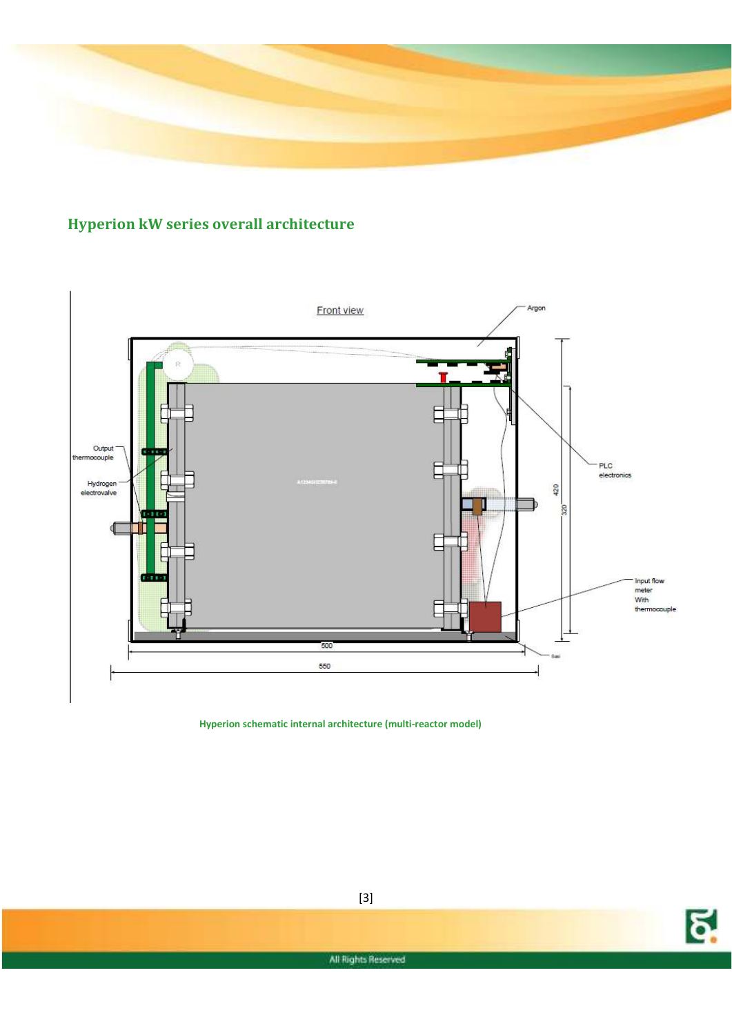

# **Hyperion kW series overall architecture**



 **Hyperion schematic internal architecture (multi-reactor model)** 

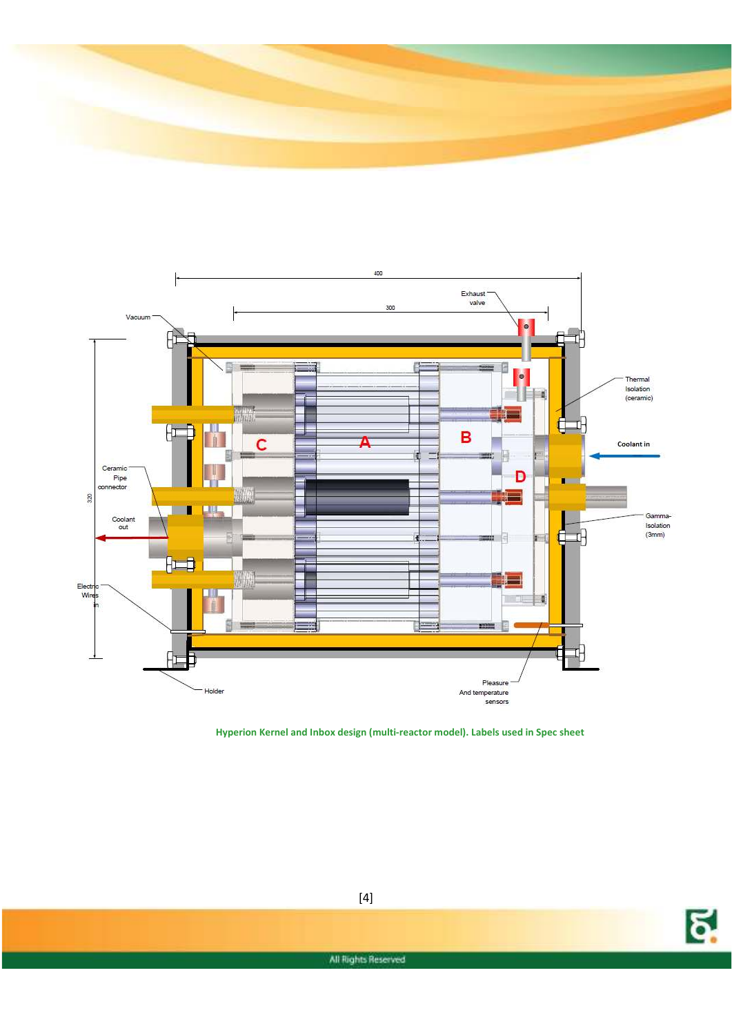



**Hyperion Kernel and Inbox design (multi-reactor model). Labels used in Spec sheet** 



[4]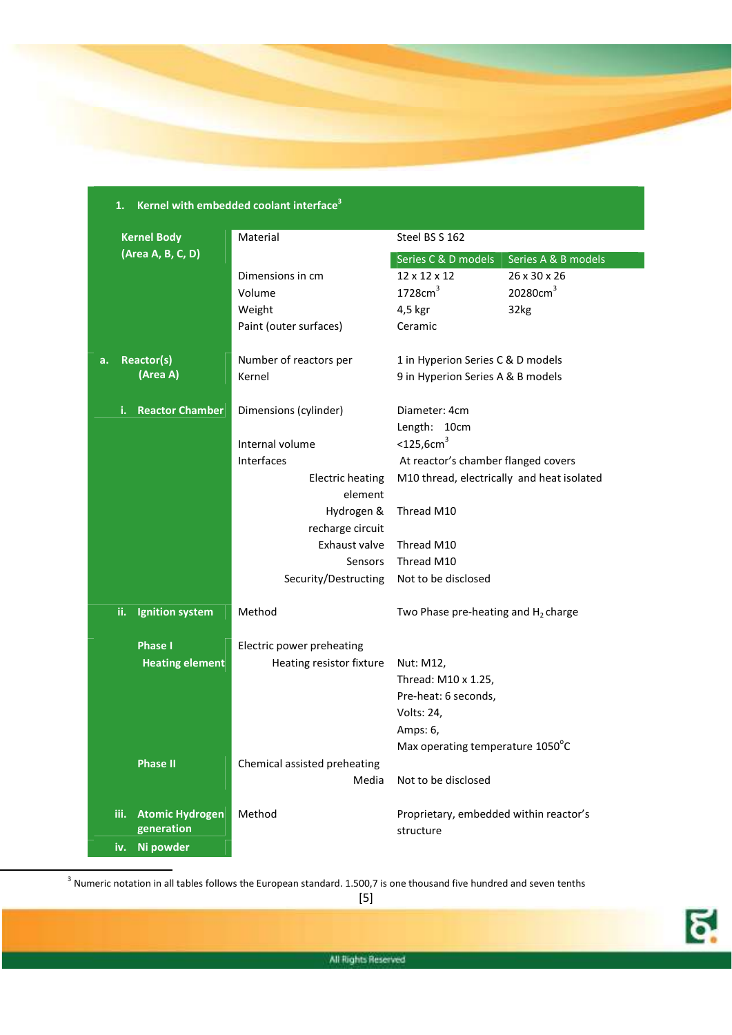

|    | Kernel with embedded coolant interface <sup>3</sup><br>1. |                        |                                   |                                            |                      |
|----|-----------------------------------------------------------|------------------------|-----------------------------------|--------------------------------------------|----------------------|
|    |                                                           | <b>Kernel Body</b>     | Material                          | Steel BS S 162                             |                      |
|    |                                                           | (Area A, B, C, D)      |                                   | Series C & D models                        | Series A & B models  |
|    |                                                           |                        | Dimensions in cm                  | 12 x 12 x 12                               | 26 x 30 x 26         |
|    |                                                           |                        | Volume                            | 1728cm <sup>3</sup>                        | 20280cm <sup>3</sup> |
|    |                                                           |                        | Weight                            | 4,5 kgr                                    | 32kg                 |
|    |                                                           |                        | Paint (outer surfaces)            | Ceramic                                    |                      |
| а. |                                                           | Reactor(s)             | Number of reactors per            | 1 in Hyperion Series C & D models          |                      |
|    |                                                           | (Area A)               | Kernel                            | 9 in Hyperion Series A & B models          |                      |
|    | i.                                                        | <b>Reactor Chamber</b> | Dimensions (cylinder)             | Diameter: 4cm                              |                      |
|    |                                                           |                        |                                   | Length: 10cm                               |                      |
|    |                                                           |                        | Internal volume                   | $<$ 125,6cm $3$                            |                      |
|    |                                                           |                        | Interfaces                        | At reactor's chamber flanged covers        |                      |
|    |                                                           |                        | <b>Electric heating</b>           | M10 thread, electrically and heat isolated |                      |
|    |                                                           |                        | element                           |                                            |                      |
|    |                                                           |                        | Hydrogen &                        | Thread M10                                 |                      |
|    |                                                           |                        | recharge circuit<br>Exhaust valve | Thread M10                                 |                      |
|    |                                                           |                        | Sensors                           | Thread M10                                 |                      |
|    |                                                           |                        | Security/Destructing              | Not to be disclosed                        |                      |
|    |                                                           |                        |                                   |                                            |                      |
|    | ii.                                                       | <b>Ignition system</b> | Method                            | Two Phase pre-heating and $H_2$ charge     |                      |
|    |                                                           | <b>Phase I</b>         | Electric power preheating         |                                            |                      |
|    |                                                           | <b>Heating element</b> | Heating resistor fixture          | Nut: M12,                                  |                      |
|    |                                                           |                        |                                   | Thread: M10 x 1.25,                        |                      |
|    |                                                           |                        |                                   | Pre-heat: 6 seconds,                       |                      |
|    |                                                           |                        |                                   | Volts: 24,                                 |                      |
|    |                                                           |                        |                                   | Amps: 6,                                   |                      |
|    |                                                           |                        |                                   | Max operating temperature 1050°C           |                      |
|    |                                                           | <b>Phase II</b>        | Chemical assisted preheating      |                                            |                      |
|    |                                                           |                        | Media                             | Not to be disclosed                        |                      |
|    | iii.                                                      | <b>Atomic Hydrogen</b> | Method                            | Proprietary, embedded within reactor's     |                      |
|    |                                                           | generation             |                                   | structure                                  |                      |
|    |                                                           | iv. Ni powder          |                                   |                                            |                      |

 $3$  Numeric notation in all tables follows the European standard. 1.500,7 is one thousand five hundred and seven tenths

 $\overline{a}$ 

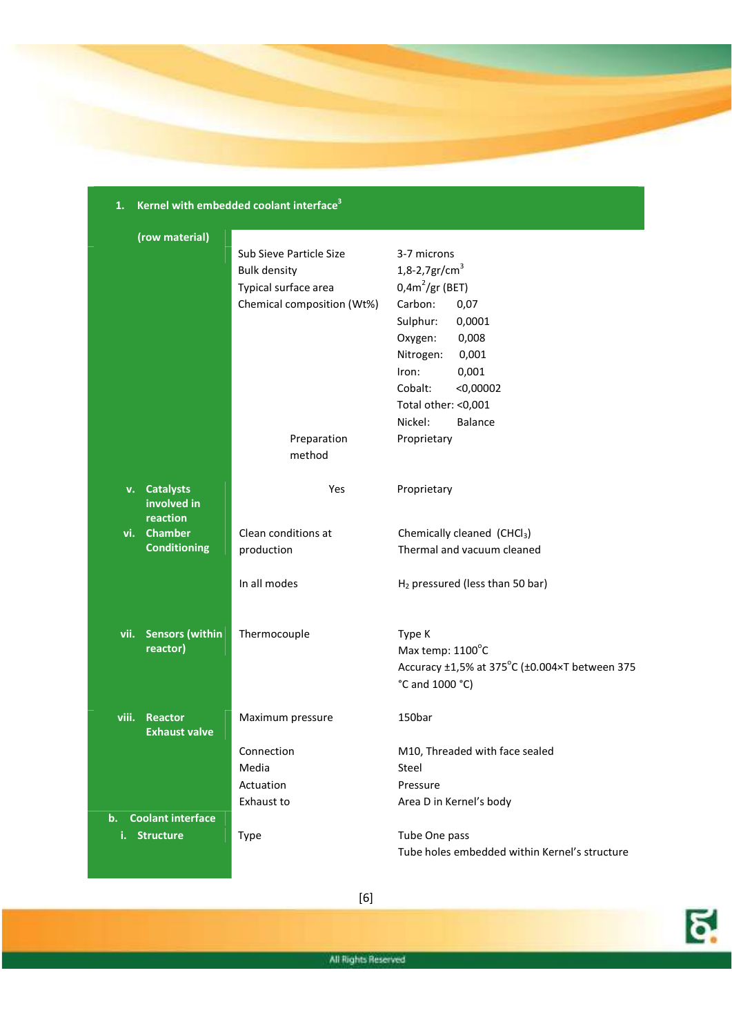# **1. Kernel with embedded coolant interface<sup>3</sup>**

| (row material)                             |                            |                                               |
|--------------------------------------------|----------------------------|-----------------------------------------------|
|                                            | Sub Sieve Particle Size    | 3-7 microns                                   |
|                                            | <b>Bulk density</b>        | 1,8-2,7gr/cm <sup>3</sup>                     |
|                                            | Typical surface area       | $0,4m^2$ /gr (BET)                            |
|                                            | Chemical composition (Wt%) | Carbon:<br>0,07                               |
|                                            |                            | Sulphur:<br>0,0001                            |
|                                            |                            | 0,008<br>Oxygen:                              |
|                                            |                            | Nitrogen:<br>0,001                            |
|                                            |                            | 0,001<br>Iron:                                |
|                                            |                            | Cobalt:<br>$<$ 0,00002                        |
|                                            |                            | Total other: <0,001                           |
|                                            |                            | Nickel:<br>Balance                            |
|                                            | Preparation                | Proprietary                                   |
|                                            | method                     |                                               |
| v. Catalysts                               | Yes                        | Proprietary                                   |
| involved in                                |                            |                                               |
| reaction                                   |                            |                                               |
| vi. Chamber                                | Clean conditions at        | Chemically cleaned (CHCl <sub>3</sub> )       |
| <b>Conditioning</b>                        | production                 | Thermal and vacuum cleaned                    |
|                                            | In all modes               | $H2$ pressured (less than 50 bar)             |
|                                            |                            |                                               |
| vii. Sensors (within                       | Thermocouple               | Type K                                        |
| reactor)                                   |                            | Max temp: 1100°C                              |
|                                            |                            | Accuracy ±1,5% at 375°C (±0.004×T between 375 |
|                                            |                            | °C and 1000 °C)                               |
| viii.<br>Reactor                           | Maximum pressure           | 150bar                                        |
| <b>Exhaust valve</b>                       |                            |                                               |
|                                            | Connection                 | M10, Threaded with face sealed                |
|                                            | Media                      | Steel                                         |
|                                            | Actuation                  | Pressure                                      |
|                                            | Exhaust to                 | Area D in Kernel's body                       |
| <b>Coolant interface</b><br>$\mathbf{b}$ . |                            |                                               |
| <b>Structure</b><br>i.                     | Type                       | Tube One pass                                 |
|                                            |                            | Tube holes embedded within Kernel's structure |

[6]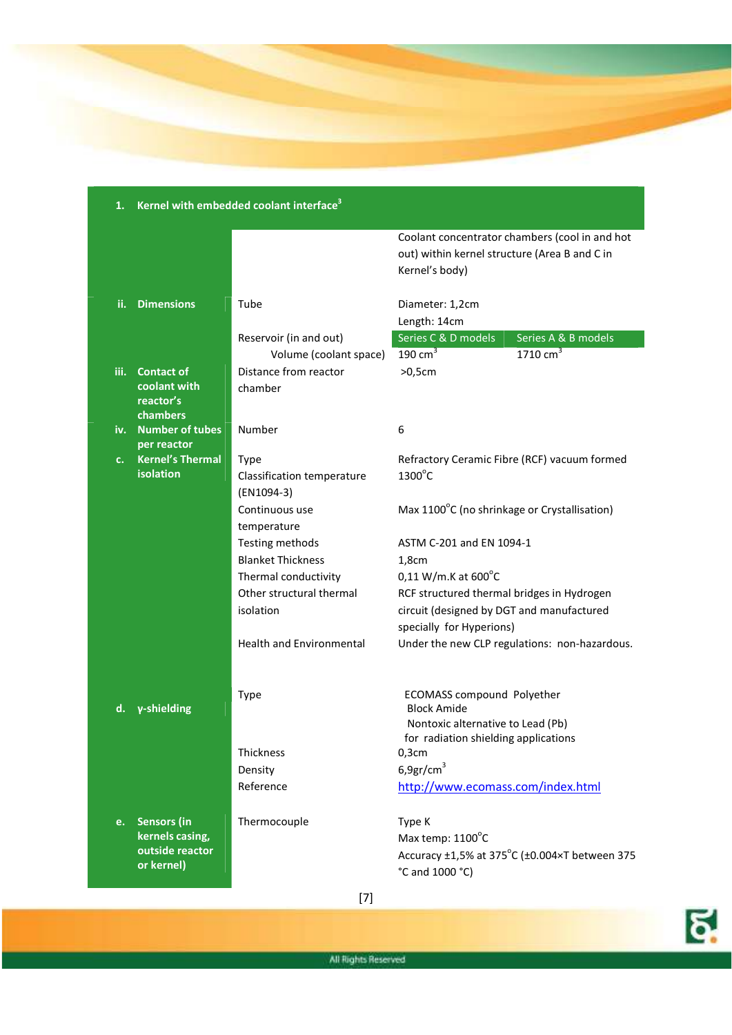

|      |                                                                        | Refnei with embedded coolant interface                  |                                                                                                                                      |
|------|------------------------------------------------------------------------|---------------------------------------------------------|--------------------------------------------------------------------------------------------------------------------------------------|
|      |                                                                        |                                                         | Coolant concentrator chambers (cool in and hot<br>out) within kernel structure (Area B and C in<br>Kernel's body)                    |
| ii.  | <b>Dimensions</b>                                                      | Tube                                                    | Diameter: 1,2cm                                                                                                                      |
|      |                                                                        | Reservoir (in and out)                                  | Length: 14cm<br>Series C & D models<br>Series A & B models                                                                           |
|      |                                                                        | Volume (coolant space)                                  | $1710 \text{ cm}^3$<br>190 $cm3$                                                                                                     |
| iii. | <b>Contact of</b>                                                      | Distance from reactor                                   | $>0,5$ cm                                                                                                                            |
|      | coolant with<br>reactor's<br>chambers                                  | chamber                                                 |                                                                                                                                      |
| iv.  | <b>Number of tubes</b><br>per reactor                                  | Number                                                  | 6                                                                                                                                    |
| c.   | <b>Kernel's Thermal</b><br>isolation                                   | <b>Type</b><br>Classification temperature<br>(EN1094-3) | Refractory Ceramic Fibre (RCF) vacuum formed<br>$1300^{\circ}$ C                                                                     |
|      |                                                                        | Continuous use<br>temperature                           | Max 1100°C (no shrinkage or Crystallisation)                                                                                         |
|      |                                                                        | Testing methods                                         | ASTM C-201 and EN 1094-1                                                                                                             |
|      |                                                                        | <b>Blanket Thickness</b>                                | 1,8cm                                                                                                                                |
|      |                                                                        | Thermal conductivity                                    | $0,11$ W/m.K at $600^{\circ}$ C                                                                                                      |
|      |                                                                        | Other structural thermal                                | RCF structured thermal bridges in Hydrogen                                                                                           |
|      |                                                                        | isolation                                               | circuit (designed by DGT and manufactured<br>specially for Hyperions)                                                                |
|      |                                                                        | <b>Health and Environmental</b>                         | Under the new CLP regulations: non-hazardous.                                                                                        |
| d.   | γ-shielding                                                            | Type                                                    | <b>ECOMASS compound Polyether</b><br><b>Block Amide</b><br>Nontoxic alternative to Lead (Pb)<br>for radiation shielding applications |
|      |                                                                        | Thickness                                               | $0,3$ cm                                                                                                                             |
|      |                                                                        | Density                                                 | 6,9gr/cm <sup>3</sup>                                                                                                                |
|      |                                                                        | Reference                                               | http://www.ecomass.com/index.html                                                                                                    |
| e.   | <b>Sensors (in</b><br>kernels casing,<br>outside reactor<br>or kernel) | Thermocouple                                            | Type K<br>Max temp: 1100°C<br>Accuracy ±1,5% at 375°C (±0.004×T between 375<br>°C and 1000 °C)                                       |

## **1. Kernel with embedded coolant interface<sup>3</sup>**

[7]

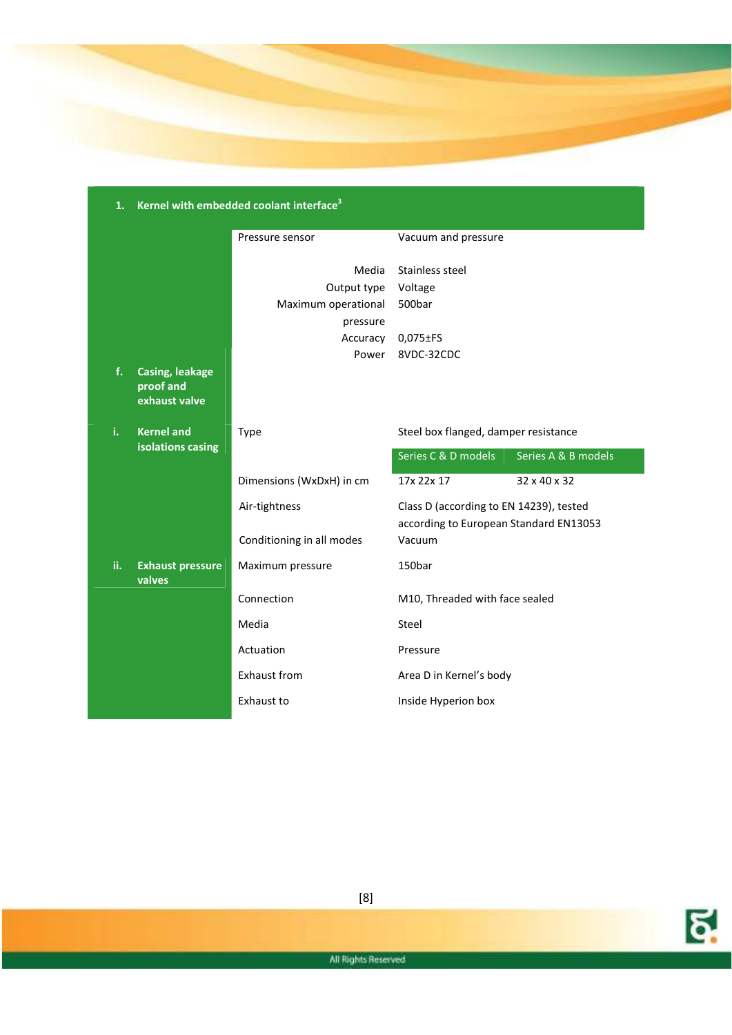

| 1.  |                                                      | Kernel with embedded coolant interface <sup>3</sup> |                                                                                   |                     |
|-----|------------------------------------------------------|-----------------------------------------------------|-----------------------------------------------------------------------------------|---------------------|
|     |                                                      | Pressure sensor                                     | Vacuum and pressure                                                               |                     |
|     |                                                      | Media                                               | Stainless steel                                                                   |                     |
|     |                                                      | Output type                                         | Voltage                                                                           |                     |
|     |                                                      | Maximum operational                                 | 500bar                                                                            |                     |
|     |                                                      | pressure                                            |                                                                                   |                     |
|     |                                                      | Accuracy                                            | $0,075 \pm FS$                                                                    |                     |
|     |                                                      | Power                                               | 8VDC-32CDC                                                                        |                     |
| f.  | <b>Casing, leakage</b><br>proof and<br>exhaust valve |                                                     |                                                                                   |                     |
| i.  | <b>Kernel and</b>                                    | <b>Type</b>                                         | Steel box flanged, damper resistance                                              |                     |
|     | isolations casing                                    |                                                     | Series C & D models                                                               | Series A & B models |
|     |                                                      | Dimensions (WxDxH) in cm                            | 17x 22x 17                                                                        | 32 x 40 x 32        |
|     |                                                      | Air-tightness                                       | Class D (according to EN 14239), tested<br>according to European Standard EN13053 |                     |
|     |                                                      | Conditioning in all modes                           | Vacuum                                                                            |                     |
| ii. | <b>Exhaust pressure</b><br>valves                    | Maximum pressure                                    | 150bar                                                                            |                     |
|     |                                                      | Connection                                          | M10, Threaded with face sealed                                                    |                     |
|     |                                                      | Media                                               | <b>Steel</b>                                                                      |                     |
|     |                                                      | Actuation                                           | Pressure                                                                          |                     |
|     |                                                      | <b>Exhaust from</b>                                 | Area D in Kernel's body                                                           |                     |
|     |                                                      | Exhaust to                                          | Inside Hyperion box                                                               |                     |

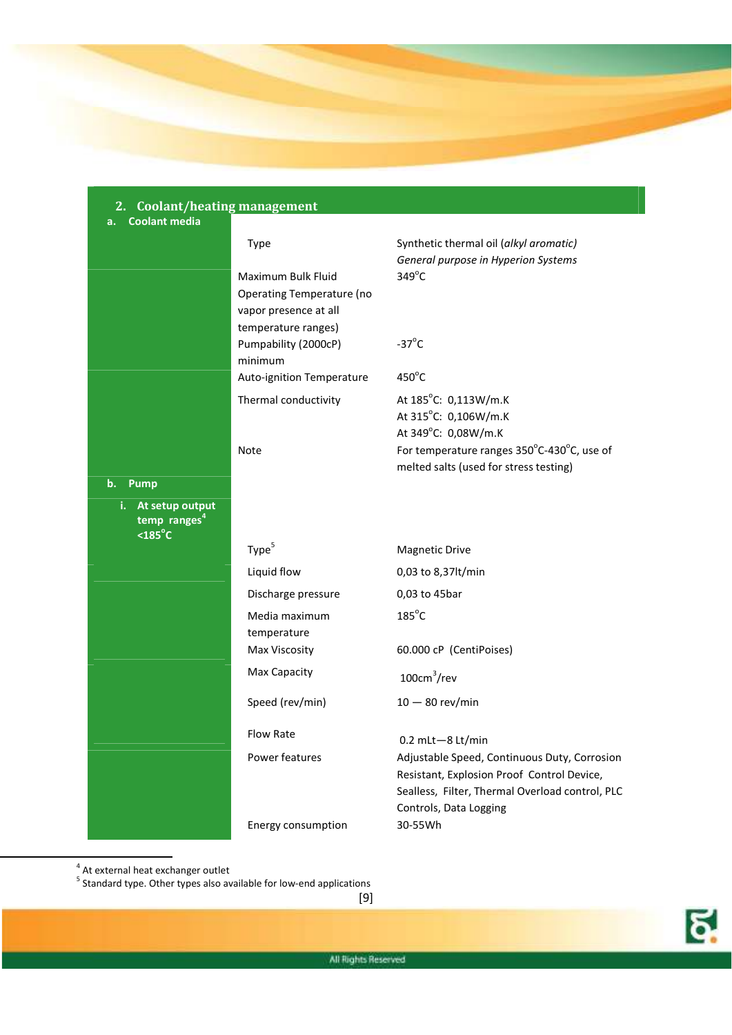

| <b>Coolant/heating management</b><br>2.                   |                                 |                                                                                                                                                                         |
|-----------------------------------------------------------|---------------------------------|-------------------------------------------------------------------------------------------------------------------------------------------------------------------------|
| <b>Coolant media</b><br>a.                                |                                 |                                                                                                                                                                         |
|                                                           | Type                            | Synthetic thermal oil (alkyl aromatic)                                                                                                                                  |
|                                                           |                                 | General purpose in Hyperion Systems                                                                                                                                     |
|                                                           | Maximum Bulk Fluid              | $349^{\circ}$ C                                                                                                                                                         |
|                                                           | Operating Temperature (no       |                                                                                                                                                                         |
|                                                           | vapor presence at all           |                                                                                                                                                                         |
|                                                           | temperature ranges)             | $-37^{\circ}$ C                                                                                                                                                         |
|                                                           | Pumpability (2000cP)<br>minimum |                                                                                                                                                                         |
|                                                           | Auto-ignition Temperature       | $450^{\circ}$ C                                                                                                                                                         |
|                                                           | Thermal conductivity            | At 185°C: 0,113W/m.K                                                                                                                                                    |
|                                                           |                                 | At 315°C: 0,106W/m.K                                                                                                                                                    |
|                                                           |                                 | At 349°C: 0,08W/m.K                                                                                                                                                     |
|                                                           | Note                            | For temperature ranges 350°C-430°C, use of                                                                                                                              |
|                                                           |                                 | melted salts (used for stress testing)                                                                                                                                  |
| <b>Pump</b><br>b.                                         |                                 |                                                                                                                                                                         |
| i. At setup output<br>temp ranges <sup>4</sup><br>$185°C$ |                                 |                                                                                                                                                                         |
|                                                           | Type <sup>5</sup>               | <b>Magnetic Drive</b>                                                                                                                                                   |
|                                                           | Liquid flow                     | 0,03 to 8,37lt/min                                                                                                                                                      |
|                                                           | Discharge pressure              | 0,03 to 45bar                                                                                                                                                           |
|                                                           | Media maximum                   | $185^{\circ}$ C                                                                                                                                                         |
|                                                           | temperature                     |                                                                                                                                                                         |
|                                                           | Max Viscosity                   | 60.000 cP (CentiPoises)                                                                                                                                                 |
|                                                           | Max Capacity                    | $100cm^3$ /rev                                                                                                                                                          |
|                                                           | Speed (rev/min)                 | $10 - 80$ rev/min                                                                                                                                                       |
|                                                           | Flow Rate                       | $0.2$ mLt $-8$ Lt/min                                                                                                                                                   |
|                                                           | Power features                  | Adjustable Speed, Continuous Duty, Corrosion<br>Resistant, Explosion Proof Control Device,<br>Sealless, Filter, Thermal Overload control, PLC<br>Controls, Data Logging |
|                                                           | Energy consumption              | 30-55Wh                                                                                                                                                                 |

l

<sup>4</sup> At external heat exchanger outlet<br><sup>5</sup> Standard type. Other types also available for low-end applications

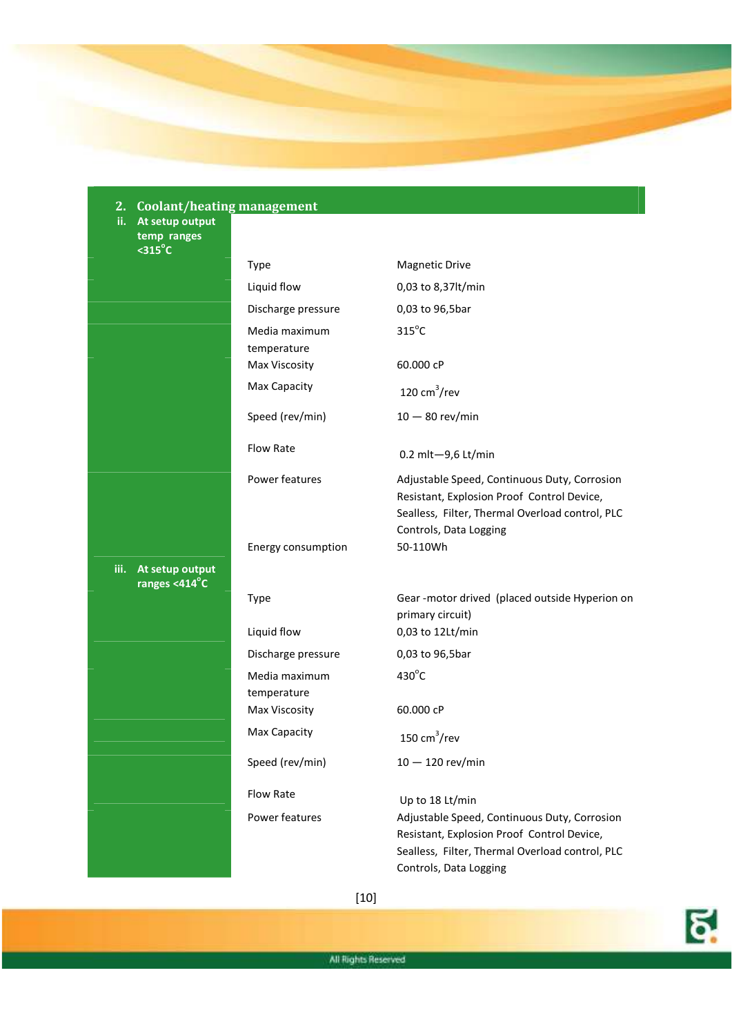

**ii. At setup output temp ranges <315<sup>o</sup> C** 

| .о.<br>$315°C$                           |                              |                                                                                                                                                                         |
|------------------------------------------|------------------------------|-------------------------------------------------------------------------------------------------------------------------------------------------------------------------|
|                                          | Type                         | <b>Magnetic Drive</b>                                                                                                                                                   |
|                                          | Liquid flow                  | 0,03 to 8,37lt/min                                                                                                                                                      |
|                                          | Discharge pressure           | 0,03 to 96,5bar                                                                                                                                                         |
|                                          | Media maximum                | $315^{\circ}$ C                                                                                                                                                         |
|                                          | temperature                  |                                                                                                                                                                         |
|                                          | Max Viscosity                | 60.000 cP                                                                                                                                                               |
|                                          | Max Capacity                 | 120 $cm^3$ /rev                                                                                                                                                         |
|                                          | Speed (rev/min)              | $10 - 80$ rev/min                                                                                                                                                       |
|                                          | Flow Rate                    | 0.2 mlt-9,6 Lt/min                                                                                                                                                      |
|                                          | Power features               | Adjustable Speed, Continuous Duty, Corrosion<br>Resistant, Explosion Proof Control Device,<br>Sealless, Filter, Thermal Overload control, PLC<br>Controls, Data Logging |
|                                          | Energy consumption           | 50-110Wh                                                                                                                                                                |
| iii.<br>At setup output<br>ranges <414°C |                              |                                                                                                                                                                         |
|                                          | Type                         | Gear-motor drived (placed outside Hyperion on<br>primary circuit)                                                                                                       |
|                                          | Liquid flow                  | 0,03 to 12Lt/min                                                                                                                                                        |
|                                          | Discharge pressure           | 0,03 to 96,5bar                                                                                                                                                         |
|                                          | Media maximum                | $430^{\circ}$ C                                                                                                                                                         |
|                                          | temperature<br>Max Viscosity | 60.000 cP                                                                                                                                                               |
|                                          | Max Capacity                 | 150 $cm^3$ /rev                                                                                                                                                         |
|                                          | Speed (rev/min)              | $10-120$ rev/min                                                                                                                                                        |
|                                          | <b>Flow Rate</b>             | Up to 18 Lt/min                                                                                                                                                         |
|                                          | Power features               | Adjustable Speed, Continuous Duty, Corrosion<br>Resistant, Explosion Proof Control Device,<br>Sealless, Filter, Thermal Overload control, PLC<br>Controls, Data Logging |

[10]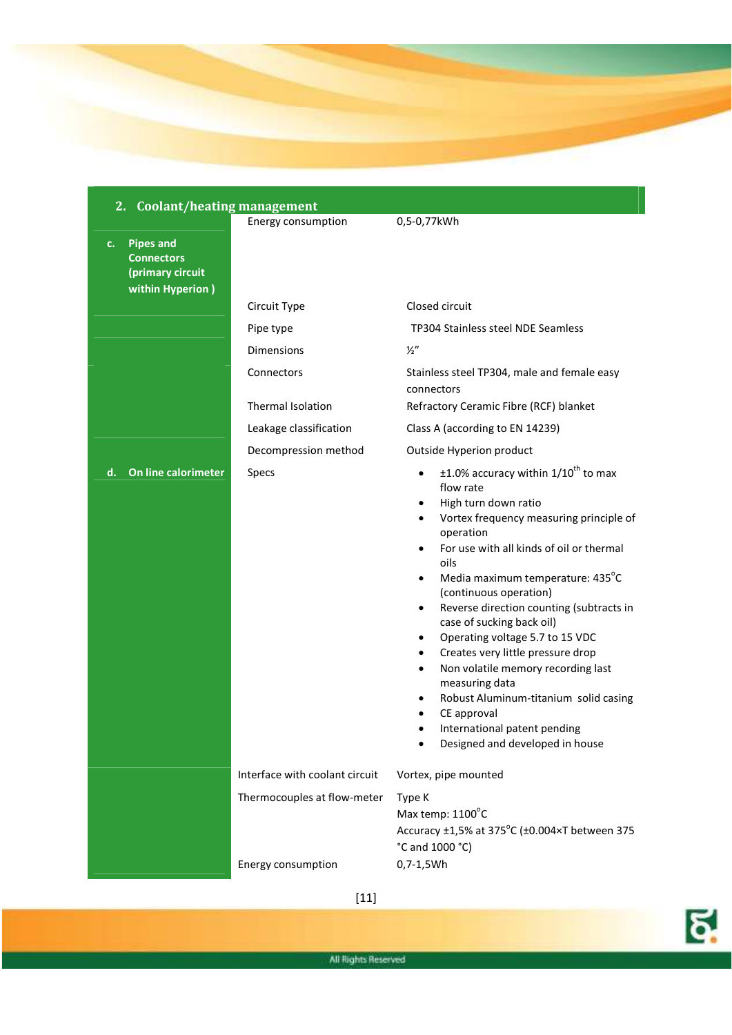### **2. Coolant/heating management**  Energy consumption 0,5-0,77kWh **c. Pipes and Connectors (primary circuit within Hyperion )**  Circuit Type Closed circuit Pipe type TP304 Stainless steel NDE Seamless Dimensions ½" Connectors Stainless steel TP304, male and female easy connectors Thermal Isolation Refractory Ceramic Fibre (RCF) blanket Leakage classification Class A (according to EN 14239) Decompression method Outside Hyperion product **d.** On line calorimeter Specs **because 1.0%** accuracy within 1/10<sup>th</sup> to max flow rate • High turn down ratio • Vortex frequency measuring principle of operation • For use with all kinds of oil or thermal oils  $\bullet$  Media maximum temperature: 435 $^{\circ}$ C (continuous operation) • Reverse direction counting (subtracts in case of sucking back oil) • Operating voltage 5.7 to 15 VDC • Creates very little pressure drop • Non volatile memory recording last measuring data • Robust Aluminum-titanium solid casing • CE approval • International patent pending • Designed and developed in house Interface with coolant circuit Vortex, pipe mounted Thermocouples at flow-meter Type K Max temp: 1100°C Accuracy  $\pm 1.5\%$  at 375°C ( $\pm 0.004 \times T$  between 375 °C and 1000 °C) Energy consumption 0,7-1,5Wh

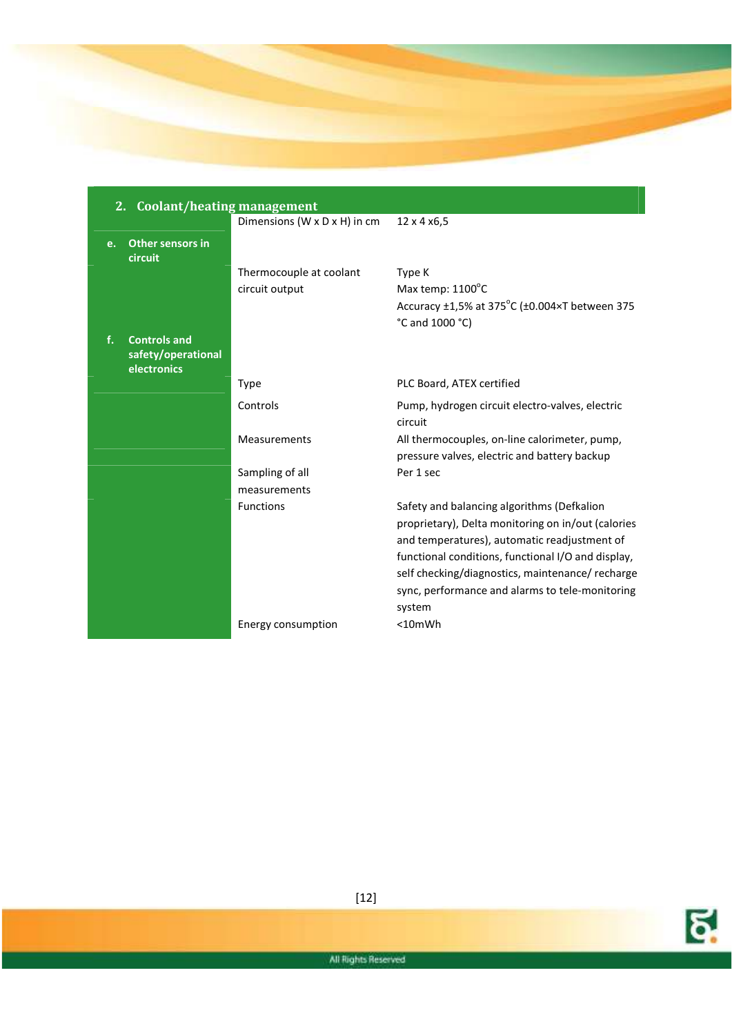

|    | 2.<br><b>Coolant/heating management</b>                  |                              |                                                                                                                                                                                                                                                                                                                         |  |
|----|----------------------------------------------------------|------------------------------|-------------------------------------------------------------------------------------------------------------------------------------------------------------------------------------------------------------------------------------------------------------------------------------------------------------------------|--|
|    |                                                          | Dimensions (W x D x H) in cm | 12 x 4 x 6, 5                                                                                                                                                                                                                                                                                                           |  |
| e. | Other sensors in<br>circuit                              |                              |                                                                                                                                                                                                                                                                                                                         |  |
|    |                                                          | Thermocouple at coolant      | Type K                                                                                                                                                                                                                                                                                                                  |  |
|    |                                                          | circuit output               | Max temp: $1100^{\circ}$ C                                                                                                                                                                                                                                                                                              |  |
|    |                                                          |                              | Accuracy ±1,5% at 375°C (±0.004×T between 375                                                                                                                                                                                                                                                                           |  |
|    |                                                          |                              | °C and 1000 °C)                                                                                                                                                                                                                                                                                                         |  |
| f. | <b>Controls and</b><br>safety/operational<br>electronics |                              |                                                                                                                                                                                                                                                                                                                         |  |
|    |                                                          | <b>Type</b>                  | PLC Board, ATEX certified                                                                                                                                                                                                                                                                                               |  |
|    |                                                          | Controls                     | Pump, hydrogen circuit electro-valves, electric<br>circuit                                                                                                                                                                                                                                                              |  |
|    |                                                          | Measurements                 | All thermocouples, on-line calorimeter, pump,                                                                                                                                                                                                                                                                           |  |
|    |                                                          |                              | pressure valves, electric and battery backup                                                                                                                                                                                                                                                                            |  |
|    |                                                          | Sampling of all              | Per 1 sec                                                                                                                                                                                                                                                                                                               |  |
|    |                                                          | measurements                 |                                                                                                                                                                                                                                                                                                                         |  |
|    |                                                          | <b>Functions</b>             | Safety and balancing algorithms (Defkalion<br>proprietary), Delta monitoring on in/out (calories<br>and temperatures), automatic readjustment of<br>functional conditions, functional I/O and display,<br>self checking/diagnostics, maintenance/ recharge<br>sync, performance and alarms to tele-monitoring<br>system |  |
|    |                                                          | Energy consumption           | $<$ 10 $mWh$                                                                                                                                                                                                                                                                                                            |  |

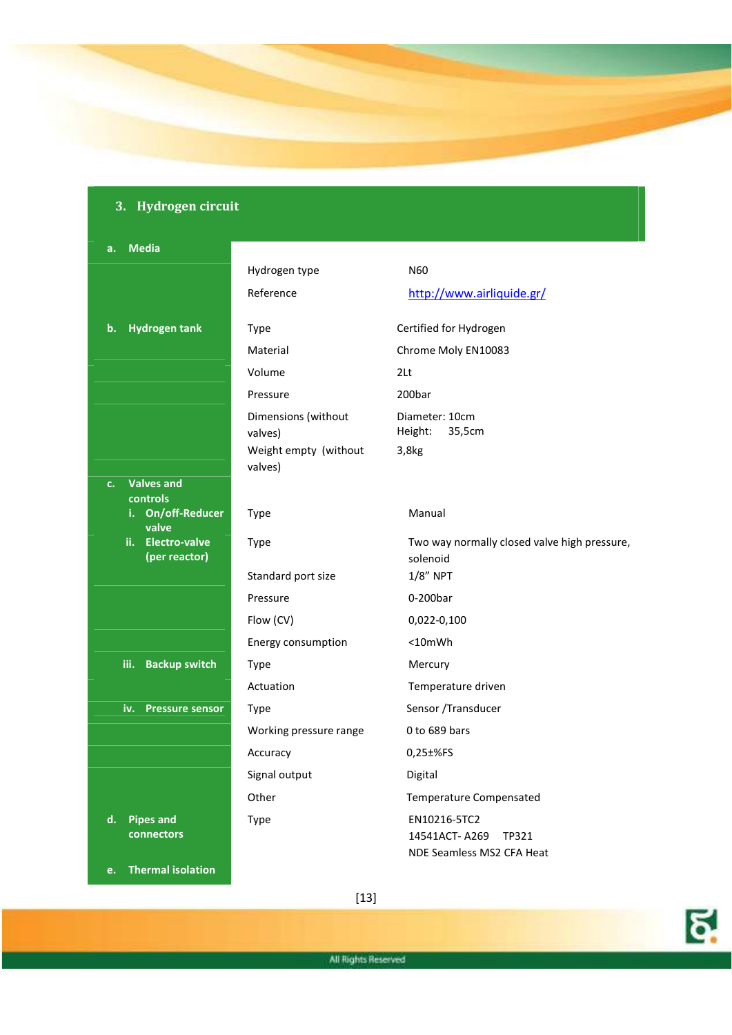## **3. Hydrogen circuit**

### **a. Media**

|                                     | Hydrogen type                    | N <sub>60</sub>                                          |
|-------------------------------------|----------------------------------|----------------------------------------------------------|
|                                     | Reference                        | http://www.airliquide.gr/                                |
|                                     |                                  |                                                          |
| <b>Hydrogen tank</b><br>$b$ .       | Type                             | Certified for Hydrogen                                   |
|                                     | Material                         | Chrome Moly EN10083                                      |
|                                     | Volume                           | 2 <sub>lt</sub>                                          |
|                                     | Pressure                         | 200bar                                                   |
|                                     | Dimensions (without<br>valves)   | Diameter: 10cm<br>35,5cm<br>Height:                      |
|                                     | Weight empty (without<br>valves) | $3,8$ <sub>kg</sub>                                      |
| <b>Valves and</b><br>c.<br>controls |                                  |                                                          |
| i. On/off-Reducer<br>valve          | Type                             | Manual                                                   |
| ii. Electro-valve<br>(per reactor)  | Type                             | Two way normally closed valve high pressure,<br>solenoid |
|                                     | Standard port size               | $1/8$ " NPT                                              |
|                                     | Pressure                         | 0-200bar                                                 |
|                                     | Flow (CV)                        | 0,022-0,100                                              |
|                                     | Energy consumption               | $<$ 10 $mWh$                                             |
| <b>Backup switch</b><br>iii.        | Type                             | Mercury                                                  |
|                                     | Actuation                        | Temperature driven                                       |
| iv.<br><b>Pressure sensor</b>       | <b>Type</b>                      | Sensor /Transducer                                       |
|                                     | Working pressure range           | 0 to 689 bars                                            |
|                                     | Accuracy                         | 0,25±%FS                                                 |
|                                     | Signal output                    | Digital                                                  |
|                                     | Other                            | Temperature Compensated                                  |
| $\mathbf{d}$ .<br><b>Pipes and</b>  | Type                             | EN10216-5TC2                                             |
| connectors                          |                                  | 14541ACT-A269<br>TP321                                   |
|                                     |                                  | NDE Seamless MS2 CFA Heat                                |
| <b>Thermal isolation</b><br>e.      |                                  |                                                          |

[13]

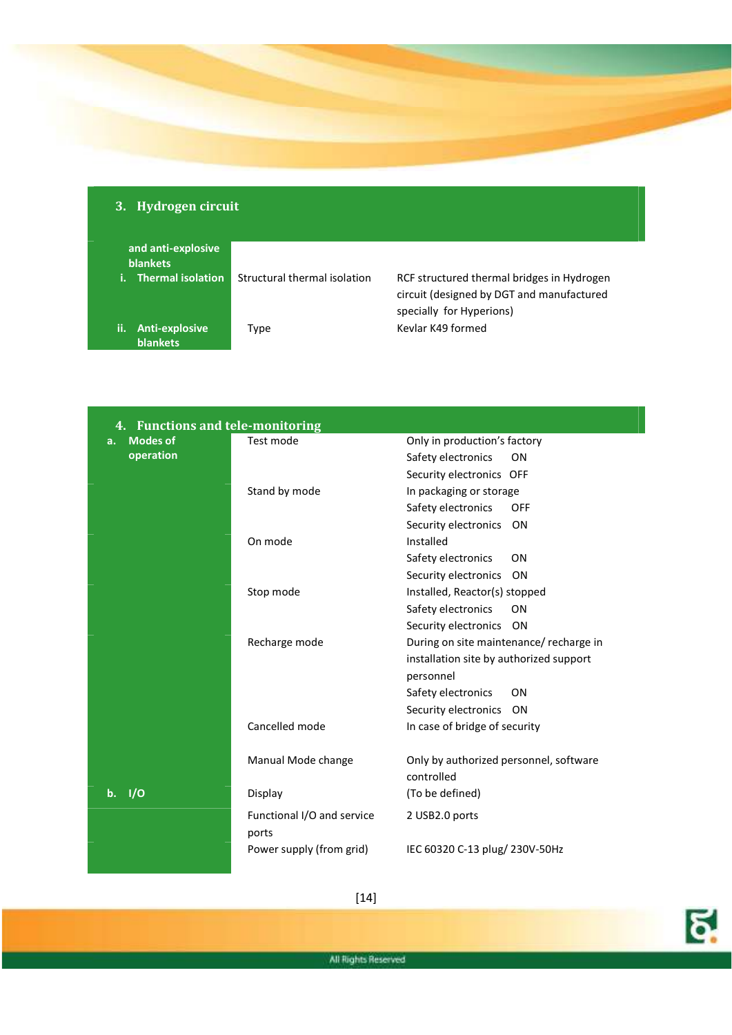| and anti-explosive<br><b>blankets</b> |                              |                                                                                                                     |
|---------------------------------------|------------------------------|---------------------------------------------------------------------------------------------------------------------|
| Thermal isolation<br>i.               | Structural thermal isolation | RCF structured thermal bridges in Hydrogen<br>circuit (designed by DGT and manufactured<br>specially for Hyperions) |
| ii.<br>Anti-explosive<br>blankets     | Type                         | Keylar K49 formed                                                                                                   |

**3. Hydrogen circuit** 

| 4. Functions and tele-monitoring |                                     |                                                      |
|----------------------------------|-------------------------------------|------------------------------------------------------|
| <b>Modes of</b><br>а.            | Test mode                           | Only in production's factory                         |
| operation                        |                                     | Safety electronics<br>ON                             |
|                                  |                                     | Security electronics OFF                             |
|                                  | Stand by mode                       | In packaging or storage                              |
|                                  |                                     | Safety electronics<br>OFF                            |
|                                  |                                     | Security electronics<br>ON                           |
|                                  | On mode                             | Installed                                            |
|                                  |                                     | Safety electronics<br>ON                             |
|                                  |                                     | Security electronics<br><b>ON</b>                    |
|                                  | Stop mode                           | Installed, Reactor(s) stopped                        |
|                                  |                                     | Safety electronics<br>ON                             |
|                                  |                                     | Security electronics<br>ON                           |
|                                  | Recharge mode                       | During on site maintenance/ recharge in              |
|                                  |                                     | installation site by authorized support              |
|                                  |                                     | personnel                                            |
|                                  |                                     | Safety electronics<br>ON                             |
|                                  |                                     | Security electronics<br>ON                           |
|                                  | Cancelled mode                      | In case of bridge of security                        |
|                                  | Manual Mode change                  | Only by authorized personnel, software<br>controlled |
| 1/0<br>$\mathbf b$ .             | Display                             | (To be defined)                                      |
|                                  | Functional I/O and service<br>ports | 2 USB2.0 ports                                       |
|                                  | Power supply (from grid)            | IEC 60320 C-13 plug/ 230V-50Hz                       |

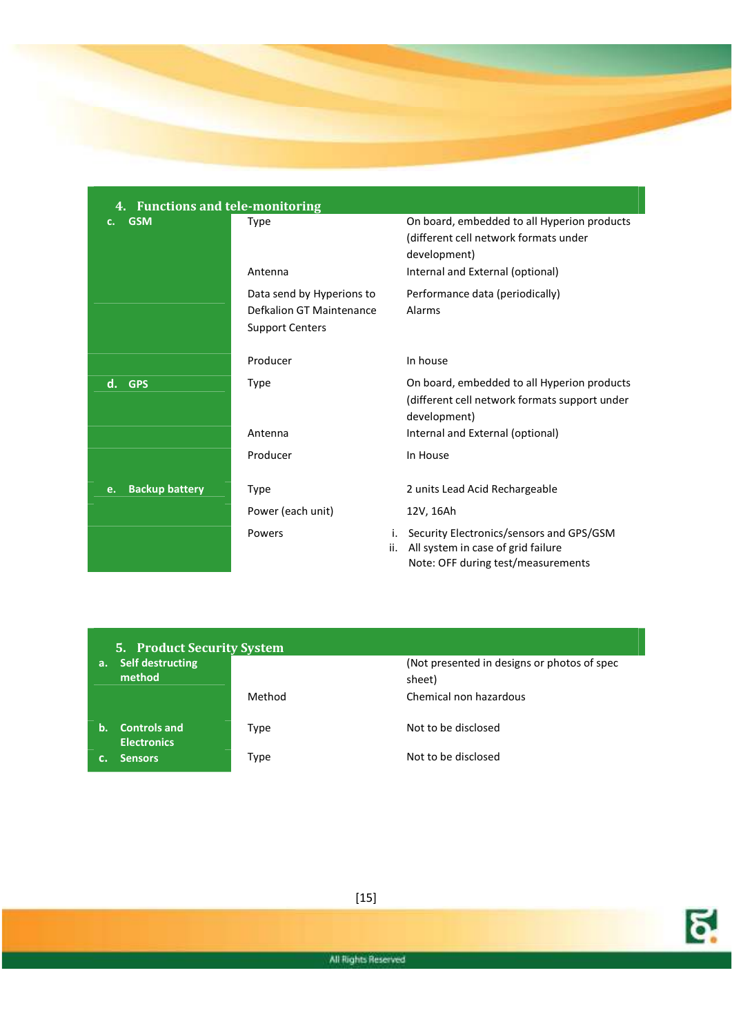

| 4. Functions and tele-monitoring |                           |                                                                                                                                   |  |
|----------------------------------|---------------------------|-----------------------------------------------------------------------------------------------------------------------------------|--|
| <b>GSM</b><br>c.                 | Type                      | On board, embedded to all Hyperion products<br>(different cell network formats under<br>development)                              |  |
|                                  | Antenna                   | Internal and External (optional)                                                                                                  |  |
|                                  | Data send by Hyperions to | Performance data (periodically)                                                                                                   |  |
|                                  | Defkalion GT Maintenance  | Alarms                                                                                                                            |  |
|                                  | <b>Support Centers</b>    |                                                                                                                                   |  |
|                                  | Producer                  | In house                                                                                                                          |  |
| <b>GPS</b><br>d.                 | <b>Type</b>               | On board, embedded to all Hyperion products<br>(different cell network formats support under<br>development)                      |  |
|                                  | Antenna                   | Internal and External (optional)                                                                                                  |  |
|                                  | Producer                  | In House                                                                                                                          |  |
|                                  |                           |                                                                                                                                   |  |
| <b>Backup battery</b><br>e.      | <b>Type</b>               | 2 units Lead Acid Rechargeable                                                                                                    |  |
|                                  | Power (each unit)         | 12V, 16Ah                                                                                                                         |  |
|                                  | Powers                    | Security Electronics/sensors and GPS/GSM<br>i.<br>All system in case of grid failure<br>ii.<br>Note: OFF during test/measurements |  |

|    | <b>5. Product Security System</b>         |        |                                                       |  |
|----|-------------------------------------------|--------|-------------------------------------------------------|--|
| a. | <b>Self destructing</b><br>method         |        | (Not presented in designs or photos of spec<br>sheet) |  |
|    |                                           | Method | Chemical non hazardous                                |  |
| b. | <b>Controls and</b><br><b>Electronics</b> | Type   | Not to be disclosed                                   |  |
|    | <b>Sensors</b>                            | Type   | Not to be disclosed                                   |  |



[15]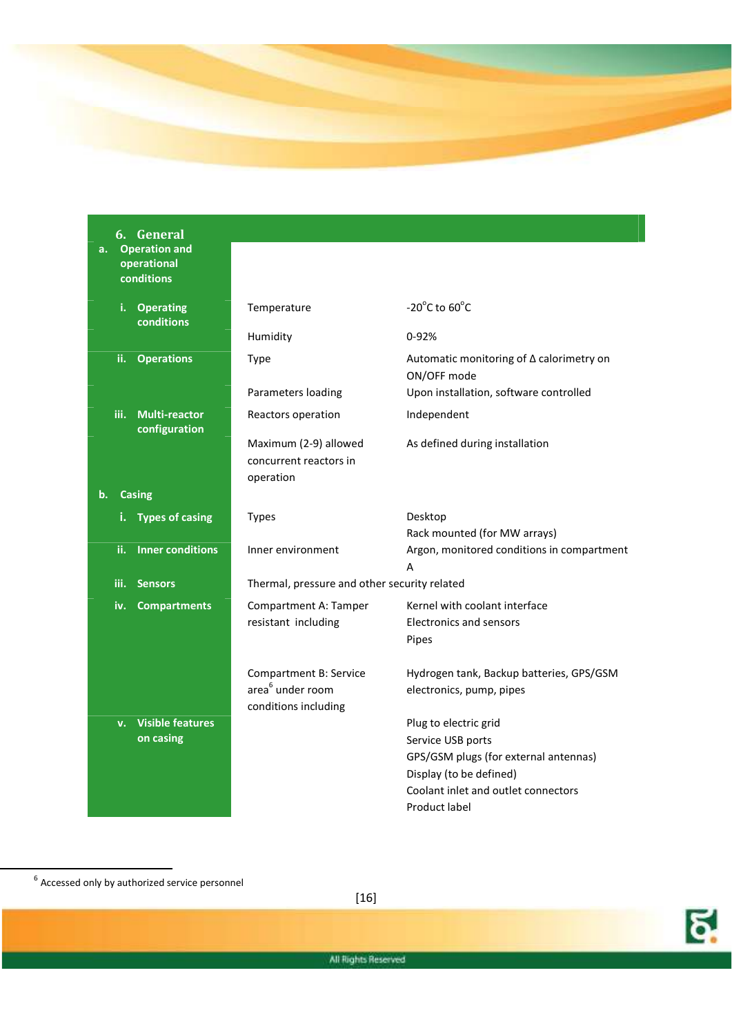

| <b>Operation and</b><br>a.<br>operational<br>conditions |                                                 |                                                                |
|---------------------------------------------------------|-------------------------------------------------|----------------------------------------------------------------|
| i.<br><b>Operating</b><br>conditions                    | Temperature                                     | $-20^{\circ}$ C to 60 $^{\circ}$ C                             |
|                                                         | Humidity                                        | $0 - 92%$                                                      |
| ii.<br><b>Operations</b>                                | Type                                            | Automatic monitoring of $\Delta$ calorimetry on<br>ON/OFF mode |
|                                                         | Parameters loading                              | Upon installation, software controlled                         |
| iii.<br><b>Multi-reactor</b><br>configuration           | Reactors operation                              | Independent                                                    |
|                                                         | Maximum (2-9) allowed<br>concurrent reactors in | As defined during installation                                 |
| <b>Casing</b><br>b.                                     | operation                                       |                                                                |
|                                                         |                                                 |                                                                |
| <b>Types of casing</b>                                  | <b>Types</b>                                    | Desktop<br>Rack mounted (for MW arrays)                        |
| <b>Inner conditions</b><br>ii.                          | Inner environment                               | Argon, monitored conditions in compartment                     |
|                                                         |                                                 | A                                                              |
| iii.<br><b>Sensors</b>                                  | Thermal, pressure and other security related    |                                                                |
| iv.<br><b>Compartments</b>                              | Compartment A: Tamper                           | Kernel with coolant interface                                  |
|                                                         | resistant including                             | <b>Electronics and sensors</b>                                 |
|                                                         |                                                 | Pipes                                                          |
|                                                         | <b>Compartment B: Service</b>                   | Hydrogen tank, Backup batteries, GPS/GSM                       |
|                                                         | area <sup>6</sup> under room                    | electronics, pump, pipes                                       |
|                                                         | conditions including                            |                                                                |
| <b>Visible features</b><br>v.                           |                                                 | Plug to electric grid                                          |
| on casing                                               |                                                 | Service USB ports                                              |
|                                                         |                                                 | GPS/GSM plugs (for external antennas)                          |
|                                                         |                                                 | Display (to be defined)                                        |
|                                                         |                                                 | Coolant inlet and outlet connectors                            |
|                                                         |                                                 | Product label                                                  |

 $\overline{a}$ 

**6. General** 



[16]

 $^6$  Accessed only by authorized service personnel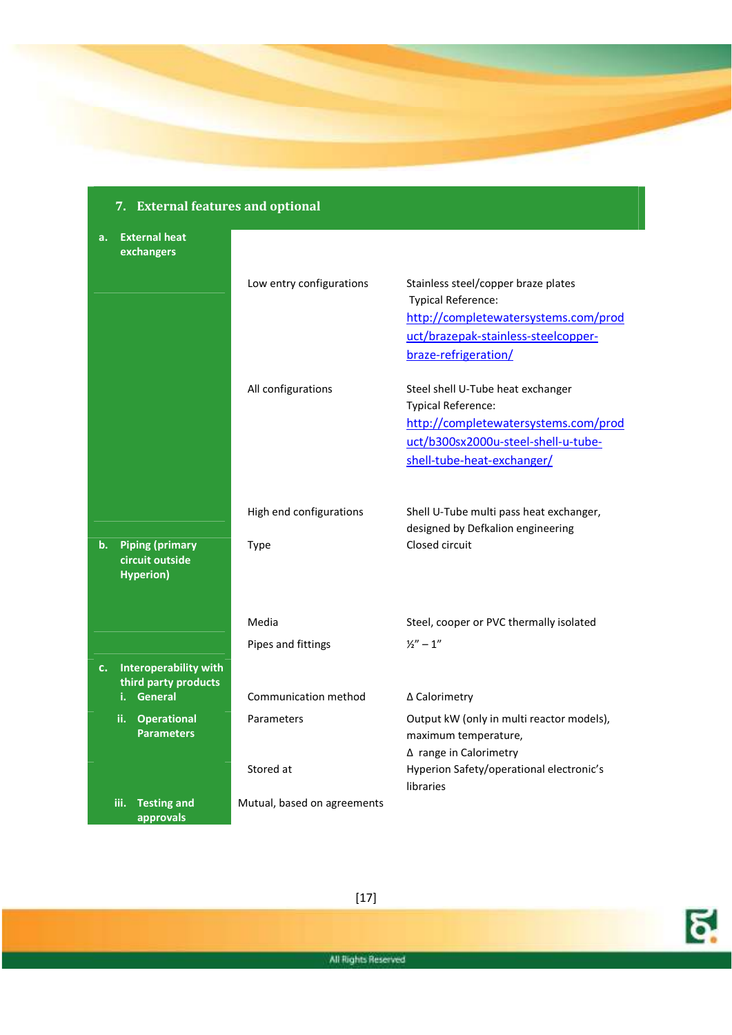## **7. External features and optional a. External heat exchangers**  Low entry configurations Stainless steel/copper braze plates Typical Reference: http://completewatersystems.com/prod uct/brazepak-stainless-steelcopperbraze-refrigeration/ All configurations Steel shell U-Tube heat exchanger Typical Reference: http://completewatersystems.com/prod uct/b300sx2000u-steel-shell-u-tubeshell-tube-heat-exchanger/ High end configurations Shell U-Tube multi pass heat exchanger, designed by Defkalion engineering **b. Piping (primary circuit outside Hyperion)**  Type Closed circuit Media Media Steel, cooper or PVC thermally isolated Pipes and fittings  $\frac{1}{2}$   $\frac{1}{2}$  - 1" **c. Interoperability with third party products i. General** Communication method Δ Calorimetry **ii. Operational Parameters**  Parameters **Dutput kW** (only in multi reactor models), maximum temperature, Δ range in Calorimetry Stored at **Hyperion Safety/operational electronic's** libraries **iii. Testing and approvals**  Mutual, based on agreements

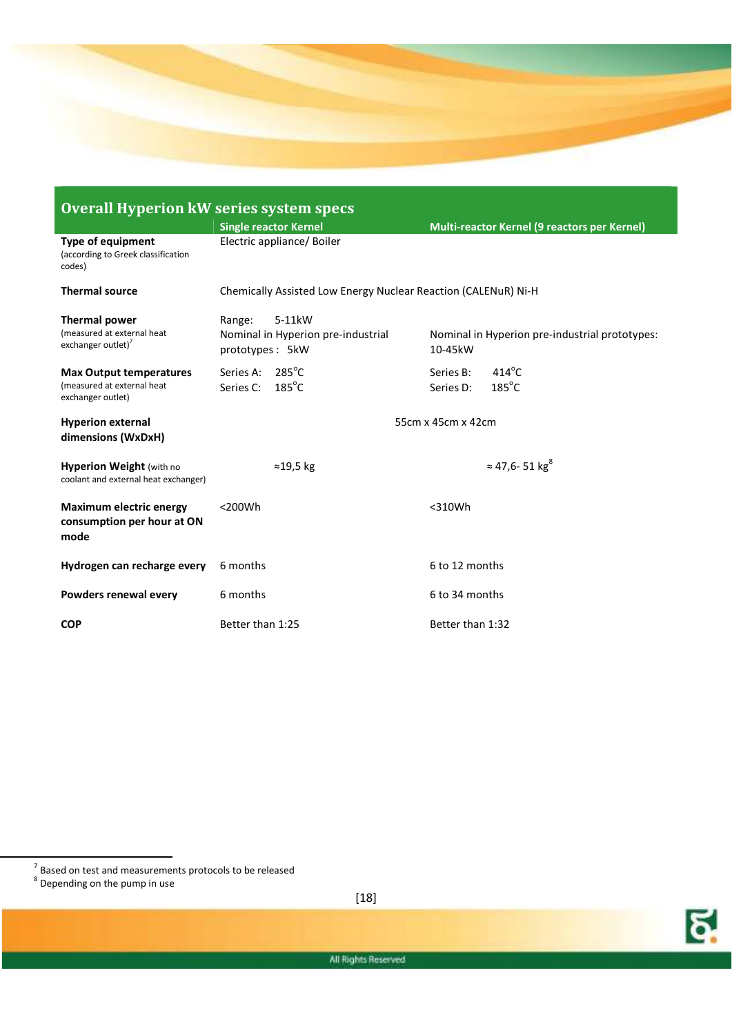

| <b>Overall Hyperion kW series system specs</b>                                     |                                                                           |                                                              |  |
|------------------------------------------------------------------------------------|---------------------------------------------------------------------------|--------------------------------------------------------------|--|
|                                                                                    | <b>Single reactor Kernel</b>                                              | Multi-reactor Kernel (9 reactors per Kernel)                 |  |
| <b>Type of equipment</b><br>(according to Greek classification<br>codes)           | Electric appliance/ Boiler                                                |                                                              |  |
| <b>Thermal source</b>                                                              | Chemically Assisted Low Energy Nuclear Reaction (CALENuR) Ni-H            |                                                              |  |
| Thermal power<br>(measured at external heat<br>exchanger outlet)                   | 5-11kW<br>Range:<br>Nominal in Hyperion pre-industrial<br>prototypes: 5kW | Nominal in Hyperion pre-industrial prototypes:<br>10-45kW    |  |
| <b>Max Output temperatures</b><br>(measured at external heat)<br>exchanger outlet) | $285^{\circ}$ C<br>Series A:<br>$185^{\circ}$ C<br>Series C:              | $414^{\circ}$ C<br>Series B:<br>$185^{\circ}$ C<br>Series D: |  |
| <b>Hyperion external</b><br>dimensions (WxDxH)                                     |                                                                           | 55cm x 45cm x 42cm                                           |  |
| <b>Hyperion Weight (with no</b><br>coolant and external heat exchanger)            | $\approx$ 19,5 kg                                                         | $\approx$ 47,6-51 kg <sup>8</sup>                            |  |
| <b>Maximum electric energy</b><br>consumption per hour at ON<br>mode               | $<$ 200 $Wh$                                                              | $<$ 310Wh                                                    |  |
| Hydrogen can recharge every                                                        | 6 months                                                                  | 6 to 12 months                                               |  |
| Powders renewal every                                                              | 6 months                                                                  | 6 to 34 months                                               |  |
| <b>COP</b>                                                                         | Better than 1:25                                                          | Better than 1:32                                             |  |

 $^7$  Based on test and measurements protocols to be released<br> $^8$  Depending on the pump in use

l



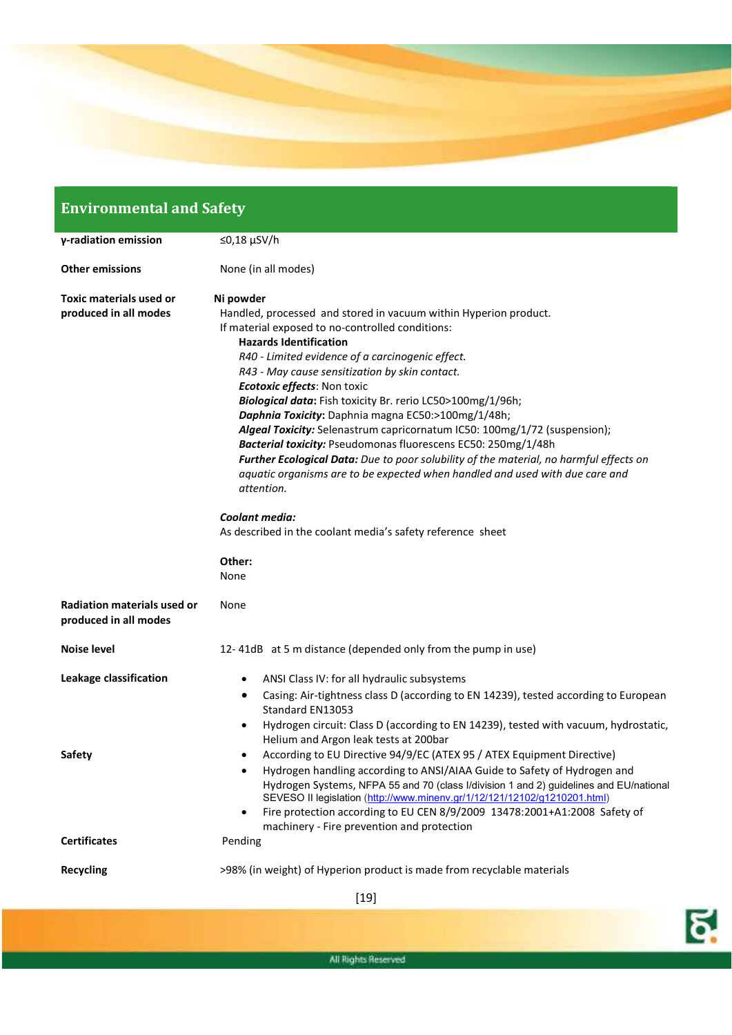

# **Environmental and Safety**

| γ-radiation emission                                        | ≤0,18 $\mu$ SV/h                                                                                                                                                                                                                                                                                                                                                                                                                                                                                                                                                                                                                                                                                                                                                                                                                                         |  |
|-------------------------------------------------------------|----------------------------------------------------------------------------------------------------------------------------------------------------------------------------------------------------------------------------------------------------------------------------------------------------------------------------------------------------------------------------------------------------------------------------------------------------------------------------------------------------------------------------------------------------------------------------------------------------------------------------------------------------------------------------------------------------------------------------------------------------------------------------------------------------------------------------------------------------------|--|
| <b>Other emissions</b>                                      | None (in all modes)                                                                                                                                                                                                                                                                                                                                                                                                                                                                                                                                                                                                                                                                                                                                                                                                                                      |  |
| <b>Toxic materials used or</b><br>produced in all modes     | Ni powder<br>Handled, processed and stored in vacuum within Hyperion product.<br>If material exposed to no-controlled conditions:<br><b>Hazards Identification</b><br>R40 - Limited evidence of a carcinogenic effect.<br>R43 - May cause sensitization by skin contact.<br><b>Ecotoxic effects: Non toxic</b><br>Biological data: Fish toxicity Br. rerio LC50>100mg/1/96h;<br>Daphnia Toxicity: Daphnia magna EC50:>100mg/1/48h;<br>Algeal Toxicity: Selenastrum capricornatum IC50: 100mg/1/72 (suspension);<br>Bacterial toxicity: Pseudomonas fluorescens EC50: 250mg/1/48h<br>Further Ecological Data: Due to poor solubility of the material, no harmful effects on<br>aquatic organisms are to be expected when handled and used with due care and<br>attention.<br>Coolant media:<br>As described in the coolant media's safety reference sheet |  |
|                                                             | Other:<br>None                                                                                                                                                                                                                                                                                                                                                                                                                                                                                                                                                                                                                                                                                                                                                                                                                                           |  |
| <b>Radiation materials used or</b><br>produced in all modes | None                                                                                                                                                                                                                                                                                                                                                                                                                                                                                                                                                                                                                                                                                                                                                                                                                                                     |  |
| <b>Noise level</b>                                          | 12-41dB at 5 m distance (depended only from the pump in use)                                                                                                                                                                                                                                                                                                                                                                                                                                                                                                                                                                                                                                                                                                                                                                                             |  |
| Leakage classification                                      | ANSI Class IV: for all hydraulic subsystems<br>٠                                                                                                                                                                                                                                                                                                                                                                                                                                                                                                                                                                                                                                                                                                                                                                                                         |  |
| <b>Safety</b>                                               | Casing: Air-tightness class D (according to EN 14239), tested according to European<br>٠<br>Standard EN13053<br>Hydrogen circuit: Class D (according to EN 14239), tested with vacuum, hydrostatic,<br>$\bullet$<br>Helium and Argon leak tests at 200bar<br>According to EU Directive 94/9/EC (ATEX 95 / ATEX Equipment Directive)<br>٠                                                                                                                                                                                                                                                                                                                                                                                                                                                                                                                 |  |
|                                                             | Hydrogen handling according to ANSI/AIAA Guide to Safety of Hydrogen and<br>$\bullet$<br>Hydrogen Systems, NFPA 55 and 70 (class I/division 1 and 2) guidelines and EU/national<br>SEVESO II legislation (http://www.minenv.gr/1/12/121/12102/g1210201.html)<br>Fire protection according to EU CEN 8/9/2009 13478:2001+A1:2008 Safety of<br>٠<br>machinery - Fire prevention and protection                                                                                                                                                                                                                                                                                                                                                                                                                                                             |  |
| <b>Certificates</b>                                         | Pending                                                                                                                                                                                                                                                                                                                                                                                                                                                                                                                                                                                                                                                                                                                                                                                                                                                  |  |
| <b>Recycling</b>                                            | >98% (in weight) of Hyperion product is made from recyclable materials                                                                                                                                                                                                                                                                                                                                                                                                                                                                                                                                                                                                                                                                                                                                                                                   |  |
|                                                             | $[19]$                                                                                                                                                                                                                                                                                                                                                                                                                                                                                                                                                                                                                                                                                                                                                                                                                                                   |  |

<u>ଟ୍</u>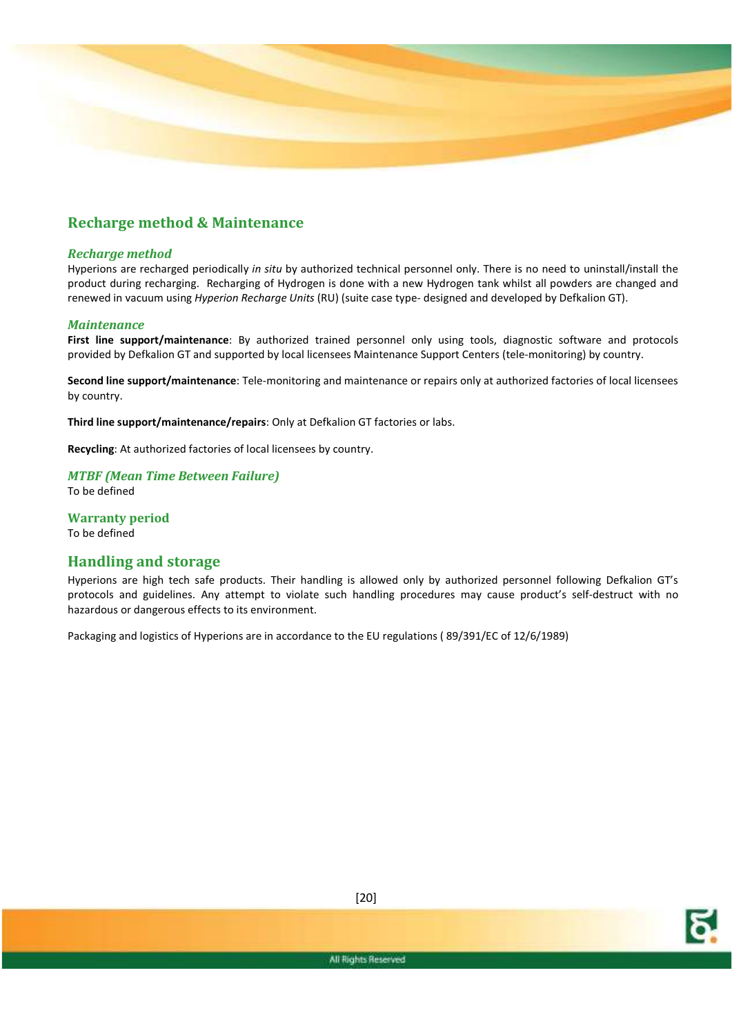

### **Recharge method & Maintenance**

### *Recharge method*

Hyperions are recharged periodically *in situ* by authorized technical personnel only. There is no need to uninstall/install the product during recharging. Recharging of Hydrogen is done with a new Hydrogen tank whilst all powders are changed and renewed in vacuum using *Hyperion Recharge Units* (RU) (suite case type- designed and developed by Defkalion GT).

### *Maintenance*

**First line support/maintenance**: By authorized trained personnel only using tools, diagnostic software and protocols provided by Defkalion GT and supported by local licensees Maintenance Support Centers (tele-monitoring) by country.

**Second line support/maintenance**: Tele-monitoring and maintenance or repairs only at authorized factories of local licensees by country.

**Third line support/maintenance/repairs**: Only at Defkalion GT factories or labs.

**Recycling**: At authorized factories of local licensees by country.

*MTBF (Mean Time Between Failure)*  To be defined

**Warranty period**  To be defined

### **Handling and storage**

Hyperions are high tech safe products. Their handling is allowed only by authorized personnel following Defkalion GT's protocols and guidelines. Any attempt to violate such handling procedures may cause product's self-destruct with no hazardous or dangerous effects to its environment.

Packaging and logistics of Hyperions are in accordance to the EU regulations ( 89/391/EC of 12/6/1989)